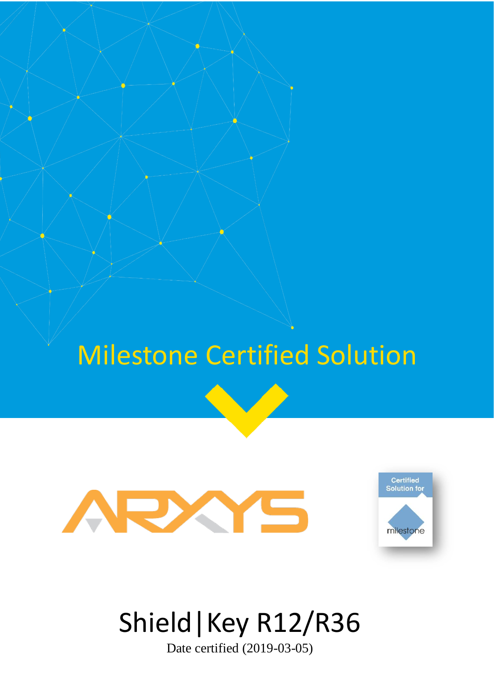# Milestone Certified Solution





# Shield|Key R12/R36

Date certified (2019-03-05)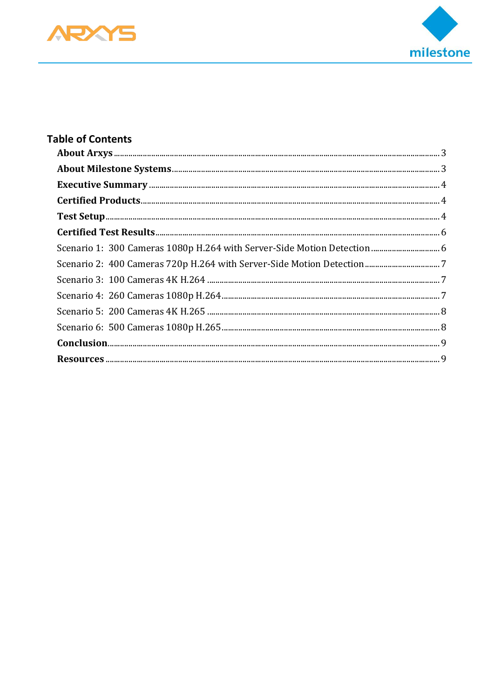



| Scenario 1: 300 Cameras 1080p H.264 with Server-Side Motion Detection  6 |  |
|--------------------------------------------------------------------------|--|
|                                                                          |  |
|                                                                          |  |
|                                                                          |  |
|                                                                          |  |
|                                                                          |  |
|                                                                          |  |
|                                                                          |  |
|                                                                          |  |
|                                                                          |  |
|                                                                          |  |
|                                                                          |  |
|                                                                          |  |
|                                                                          |  |
|                                                                          |  |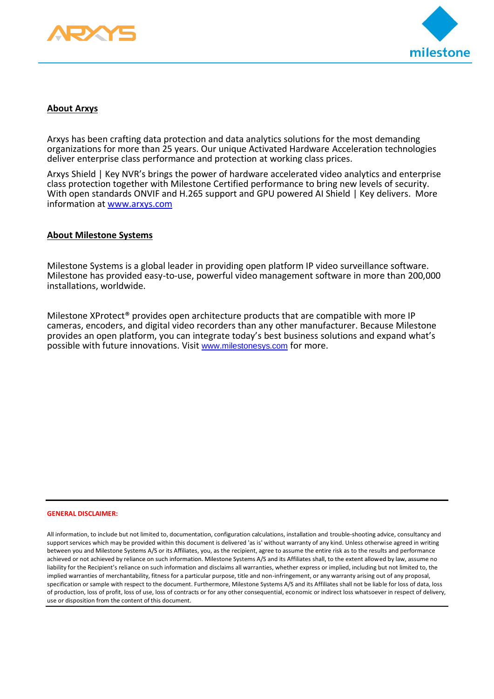



#### <span id="page-2-0"></span>**About Arxys**

Arxys has been crafting data protection and data analytics solutions for the most demanding organizations for more than 25 years. Our unique Activated Hardware Acceleration technologies deliver enterprise class performance and protection at working class prices.

Arxys Shield | Key NVR's brings the power of hardware accelerated video analytics and enterprise class protection together with Milestone Certified performance to bring new levels of security. With open standards ONVIF and H.265 support and GPU powered AI Shield | Key delivers. More information at www.arxys.com

#### <span id="page-2-1"></span>**About Milestone Systems**

Milestone Systems is a global leader in providing open platform IP video surveillance software. Milestone has provided easy-to-use, powerful video management software in more than 200,000 installations, worldwide.

Milestone XProtect® provides open architecture products that are compatible with more IP cameras, encoders, and digital video recorders than any other manufacturer. Because Milestone provides an open platform, you can integrate today's best business solutions and expand what's possible with future innovations. Visit [www.milestonesys.com](http://www.milestonesys.com/) for more.

#### **GENERAL DISCLAIMER:**

All information, to include but not limited to, documentation, configuration calculations, installation and trouble-shooting advice, consultancy and support services which may be provided within this document is delivered 'as is' without warranty of any kind. Unless otherwise agreed in writing between you and Milestone Systems A/S or its Affiliates, you, as the recipient, agree to assume the entire risk as to the results and performance achieved or not achieved by reliance on such information. Milestone Systems A/S and its Affiliates shall, to the extent allowed by law, assume no liability for the Recipient's reliance on such information and disclaims all warranties, whether express or implied, including but not limited to, the implied warranties of merchantability, fitness for a particular purpose, title and non-infringement, or any warranty arising out of any proposal, specification or sample with respect to the document. Furthermore, Milestone Systems A/S and its Affiliates shall not be liable for loss of data, loss of production, loss of profit, loss of use, loss of contracts or for any other consequential, economic or indirect loss whatsoever in respect of delivery, use or disposition from the content of this document.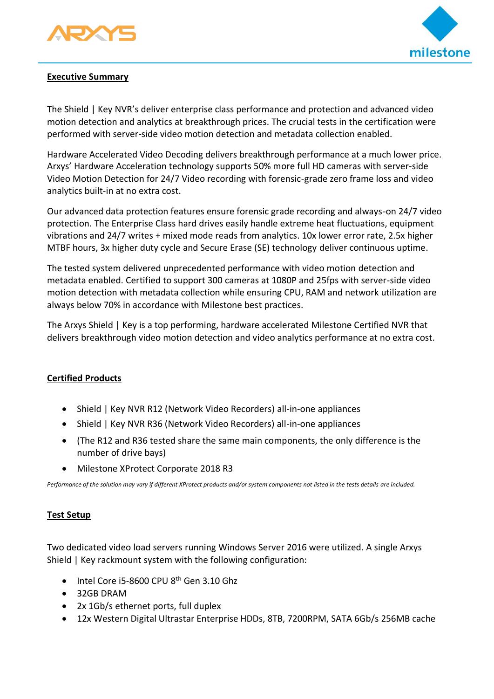



## <span id="page-3-0"></span>**Executive Summary**

The Shield | Key NVR's deliver enterprise class performance and protection and advanced video motion detection and analytics at breakthrough prices. The crucial tests in the certification were performed with server-side video motion detection and metadata collection enabled.

Hardware Accelerated Video Decoding delivers breakthrough performance at a much lower price. Arxys' Hardware Acceleration technology supports 50% more full HD cameras with server-side Video Motion Detection for 24/7 Video recording with forensic-grade zero frame loss and video analytics built-in at no extra cost.

Our advanced data protection features ensure forensic grade recording and always-on 24/7 video protection. The Enterprise Class hard drives easily handle extreme heat fluctuations, equipment vibrations and 24/7 writes + mixed mode reads from analytics. 10x lower error rate, 2.5x higher MTBF hours, 3x higher duty cycle and Secure Erase (SE) technology deliver continuous uptime.

The tested system delivered unprecedented performance with video motion detection and metadata enabled. Certified to support 300 cameras at 1080P and 25fps with server-side video motion detection with metadata collection while ensuring CPU, RAM and network utilization are always below 70% in accordance with Milestone best practices.

The Arxys Shield | Key is a top performing, hardware accelerated Milestone Certified NVR that delivers breakthrough video motion detection and video analytics performance at no extra cost.

## <span id="page-3-1"></span>**Certified Products**

- Shield | Key NVR R12 (Network Video Recorders) all-in-one appliances
- Shield | Key NVR R36 (Network Video Recorders) all-in-one appliances
- (The R12 and R36 tested share the same main components, the only difference is the number of drive bays)
- Milestone XProtect Corporate 2018 R3

*Performance of the solution may vary if different XProtect products and/or system components not listed in the tests details are included.* 

## <span id="page-3-2"></span>**Test Setup**

Two dedicated video load servers running Windows Server 2016 were utilized. A single Arxys Shield | Key rackmount system with the following configuration:

- $\bullet$  Intel Core i5-8600 CPU 8<sup>th</sup> Gen 3.10 Ghz
- 32GB DRAM
- 2x 1Gb/s ethernet ports, full duplex
- 12x Western Digital Ultrastar Enterprise HDDs, 8TB, 7200RPM, SATA 6Gb/s 256MB cache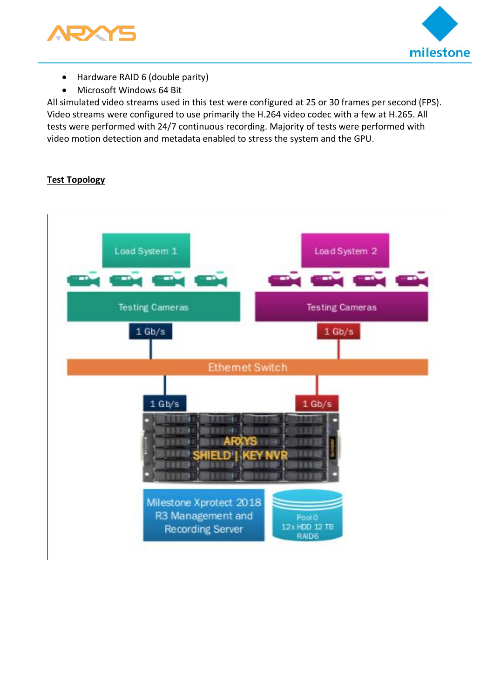



- Hardware RAID 6 (double parity)
- Microsoft Windows 64 Bit

All simulated video streams used in this test were configured at 25 or 30 frames per second (FPS). Video streams were configured to use primarily the H.264 video codec with a few at H.265. All tests were performed with 24/7 continuous recording. Majority of tests were performed with video motion detection and metadata enabled to stress the system and the GPU.

## **Test Topology**

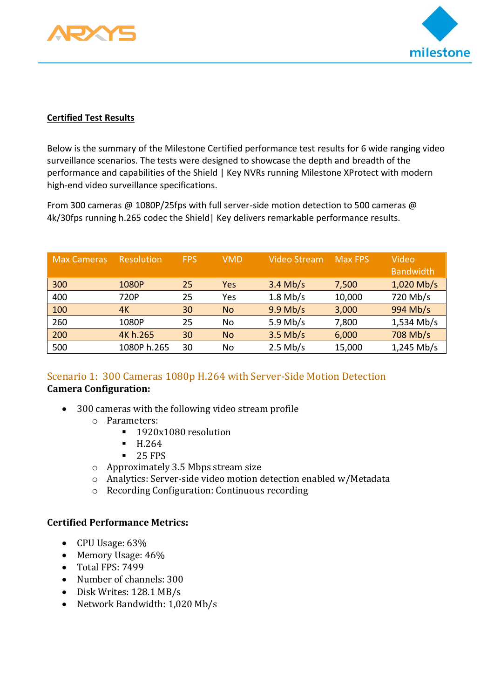



## <span id="page-5-0"></span>**Certified Test Results**

Below is the summary of the Milestone Certified performance test results for 6 wide ranging video surveillance scenarios. The tests were designed to showcase the depth and breadth of the performance and capabilities of the Shield | Key NVRs running Milestone XProtect with modern high-end video surveillance specifications.

From 300 cameras @ 1080P/25fps with full server-side motion detection to 500 cameras @ 4k/30fps running h.265 codec the Shield| Key delivers remarkable performance results.

| <b>Max Cameras</b> | <b>Resolution</b> | <b>FPS</b> | <b>VMD</b> | <b>Video Stream</b> | <b>Max FPS</b> | Video<br><b>Bandwidth</b> |
|--------------------|-------------------|------------|------------|---------------------|----------------|---------------------------|
| 300                | 1080P             | 25         | Yes        | $3.4$ Mb/s          | 7,500          | $1,020$ Mb/s              |
| 400                | 720P              | 25         | Yes        | $1.8$ Mb/s          | 10,000         | 720 Mb/s                  |
| 100                | 4K                | 30         | <b>No</b>  | $9.9$ Mb/s          | 3,000          | 994 Mb/s                  |
| 260                | 1080P             | 25         | No         | 5.9 Mb/s            | 7,800          | $1,534$ Mb/s              |
| 200                | 4K h.265          | 30         | <b>No</b>  | $3.5$ Mb/s          | 6,000          | 708 Mb/s                  |
| 500                | 1080P h.265       | 30         | <b>No</b>  | $2.5$ Mb/s          | 15,000         | $1,245$ Mb/s              |

## <span id="page-5-1"></span>Scenario 1: 300 Cameras 1080p H.264 with Server-Side Motion Detection **Camera Configuration:**

- 300 cameras with the following video stream profile
	- o Parameters:
		- 1920x1080 resolution
		- H.264
		- $-25$  FPS
	- o Approximately 3.5 Mbps stream size
	- o Analytics: Server-side video motion detection enabled w/Metadata
	- o Recording Configuration: Continuous recording

## **Certified Performance Metrics:**

- CPU Usage: 63%
- Memory Usage:  $46\%$
- Total FPS: 7499
- Number of channels: 300
- Disk Writes: 128.1 MB/s
- Network Bandwidth: 1,020 Mb/s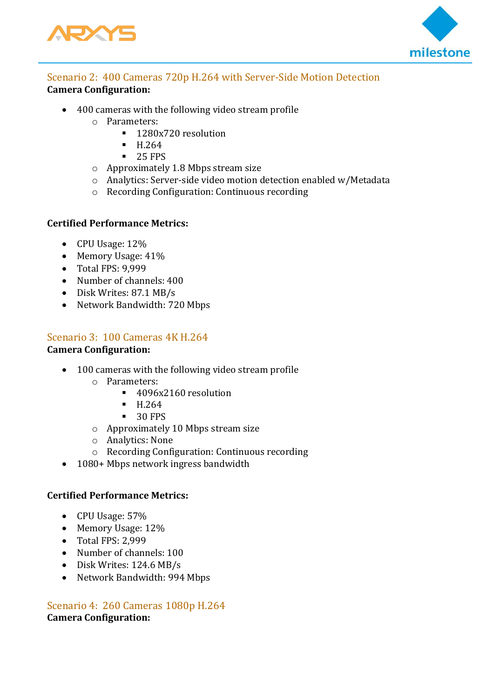



## <span id="page-6-0"></span>Scenario 2: 400 Cameras 720p H.264 with Server-Side Motion Detection **Camera Configuration:**

- 400 cameras with the following video stream profile
	- o Parameters:
		- 1280x720 resolution
		- H.264
		- 25 FPS
	- o Approximately 1.8 Mbps stream size
	- o Analytics: Server-side video motion detection enabled w/Metadata
	- o Recording Configuration: Continuous recording

## **Certified Performance Metrics:**

- CPU Usage: 12%
- Memory Usage:  $41\%$
- Total FPS: 9,999
- Number of channels: 400
- Disk Writes: 87.1 MB/s
- Network Bandwidth: 720 Mbps

## <span id="page-6-1"></span>Scenario 3: 100 Cameras 4K H.264

## **Camera Configuration:**

- 100 cameras with the following video stream profile
	- o Parameters:
		- 4096x2160 resolution
		- H.264
		- $\blacksquare$  30 FPS
	- o Approximately 10 Mbps stream size
	- o Analytics: None
	- o Recording Configuration: Continuous recording
- 1080+ Mbps network ingress bandwidth

## **Certified Performance Metrics:**

- CPU Usage: 57%
- Memory Usage: 12%
- Total FPS: 2,999
- Number of channels: 100
- Disk Writes: 124.6 MB/s
- Network Bandwidth: 994 Mbps

## <span id="page-6-2"></span>Scenario 4: 260 Cameras 1080p H.264 **Camera Configuration:**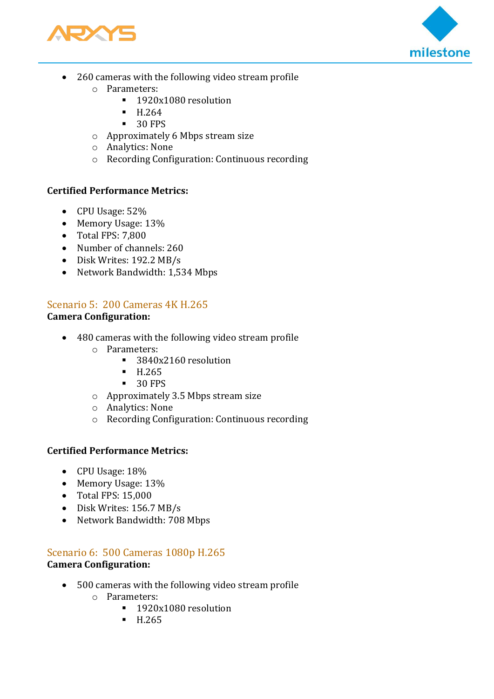



- 260 cameras with the following video stream profile
	- o Parameters:
		- 1920x1080 resolution
		- H.264
		- 30 FPS
	- o Approximately 6 Mbps stream size
	- o Analytics: None
	- o Recording Configuration: Continuous recording

## **Certified Performance Metrics:**

- CPU Usage: 52%
- Memory Usage: 13%
- Total FPS: 7,800
- Number of channels: 260
- Disk Writes: 192.2 MB/s
- Network Bandwidth: 1,534 Mbps

# <span id="page-7-0"></span>Scenario 5: 200 Cameras 4K H.265

## **Camera Configuration:**

- 480 cameras with the following video stream profile
	- o Parameters:
		- 3840x2160 resolution
		- $-H.265$
		- 30 FPS
	- o Approximately 3.5 Mbps stream size
	- o Analytics: None
	- o Recording Configuration: Continuous recording

## **Certified Performance Metrics:**

- CPU Usage: 18%
- Memory Usage: 13%
- Total FPS: 15,000
- Disk Writes: 156.7 MB/s
- Network Bandwidth: 708 Mbps

## <span id="page-7-1"></span>Scenario 6: 500 Cameras 1080p H.265

## **Camera Configuration:**

- 500 cameras with the following video stream profile
	- o Parameters:
		- 1920x1080 resolution
		- H.265